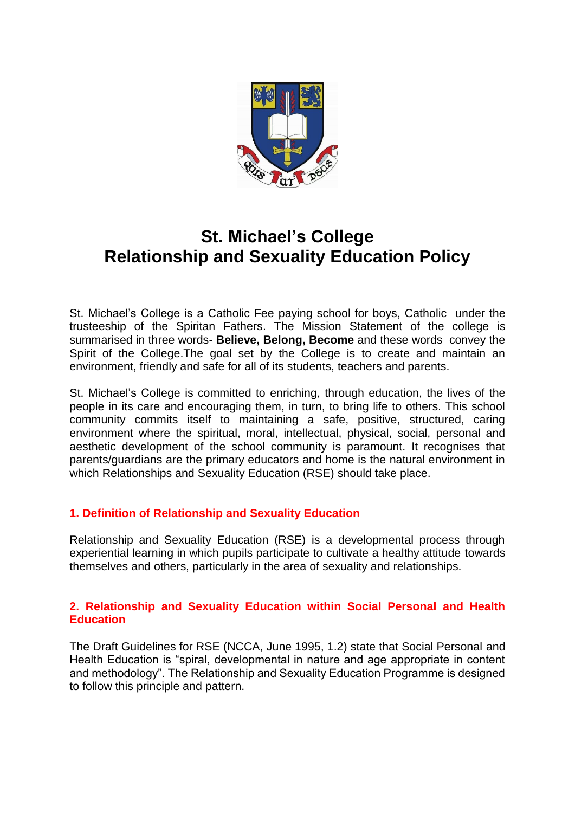

# **St. Michael's College Relationship and Sexuality Education Policy**

St. Michael's College is a Catholic Fee paying school for boys, Catholic under the trusteeship of the Spiritan Fathers. The Mission Statement of the college is summarised in three words- **Believe, Belong, Become** and these words convey the Spirit of the College.The goal set by the College is to create and maintain an environment, friendly and safe for all of its students, teachers and parents.

St. Michael's College is committed to enriching, through education, the lives of the people in its care and encouraging them, in turn, to bring life to others. This school community commits itself to maintaining a safe, positive, structured, caring environment where the spiritual, moral, intellectual, physical, social, personal and aesthetic development of the school community is paramount. It recognises that parents/guardians are the primary educators and home is the natural environment in which Relationships and Sexuality Education (RSE) should take place.

# **1. Definition of Relationship and Sexuality Education**

Relationship and Sexuality Education (RSE) is a developmental process through experiential learning in which pupils participate to cultivate a healthy attitude towards themselves and others, particularly in the area of sexuality and relationships.

## **2. Relationship and Sexuality Education within Social Personal and Health Education**

The Draft Guidelines for RSE (NCCA, June 1995, 1.2) state that Social Personal and Health Education is "spiral, developmental in nature and age appropriate in content and methodology". The Relationship and Sexuality Education Programme is designed to follow this principle and pattern.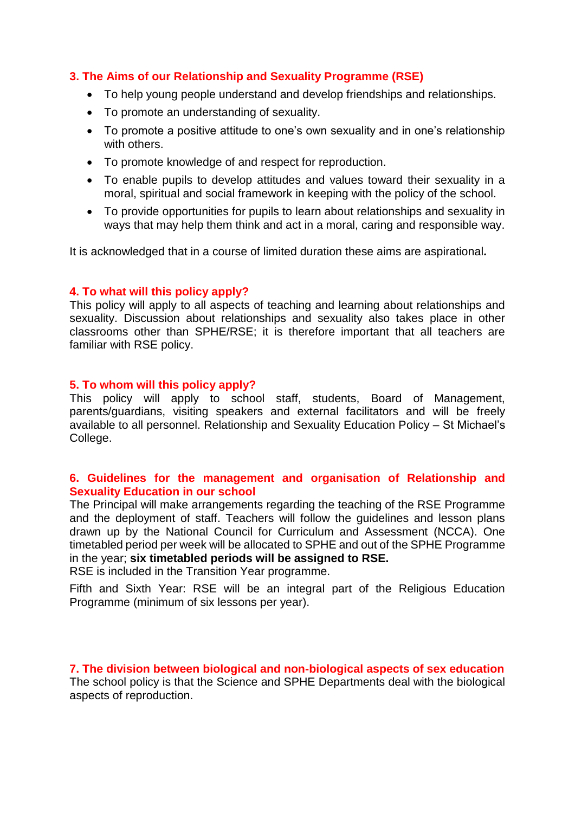## **3. The Aims of our Relationship and Sexuality Programme (RSE)**

- To help young people understand and develop friendships and relationships.
- To promote an understanding of sexuality.
- To promote a positive attitude to one's own sexuality and in one's relationship with others.
- To promote knowledge of and respect for reproduction.
- To enable pupils to develop attitudes and values toward their sexuality in a moral, spiritual and social framework in keeping with the policy of the school.
- To provide opportunities for pupils to learn about relationships and sexuality in ways that may help them think and act in a moral, caring and responsible way.

It is acknowledged that in a course of limited duration these aims are aspirational*.* 

## **4. To what will this policy apply?**

This policy will apply to all aspects of teaching and learning about relationships and sexuality. Discussion about relationships and sexuality also takes place in other classrooms other than SPHE/RSE; it is therefore important that all teachers are familiar with RSE policy.

## **5. To whom will this policy apply?**

This policy will apply to school staff, students, Board of Management, parents/guardians, visiting speakers and external facilitators and will be freely available to all personnel. Relationship and Sexuality Education Policy – St Michael's College.

## **6. Guidelines for the management and organisation of Relationship and Sexuality Education in our school**

The Principal will make arrangements regarding the teaching of the RSE Programme and the deployment of staff. Teachers will follow the guidelines and lesson plans drawn up by the National Council for Curriculum and Assessment (NCCA). One timetabled period per week will be allocated to SPHE and out of the SPHE Programme in the year; **six timetabled periods will be assigned to RSE.** 

RSE is included in the Transition Year programme.

Fifth and Sixth Year: RSE will be an integral part of the Religious Education Programme (minimum of six lessons per year).

**7. The division between biological and non-biological aspects of sex education**  The school policy is that the Science and SPHE Departments deal with the biological aspects of reproduction.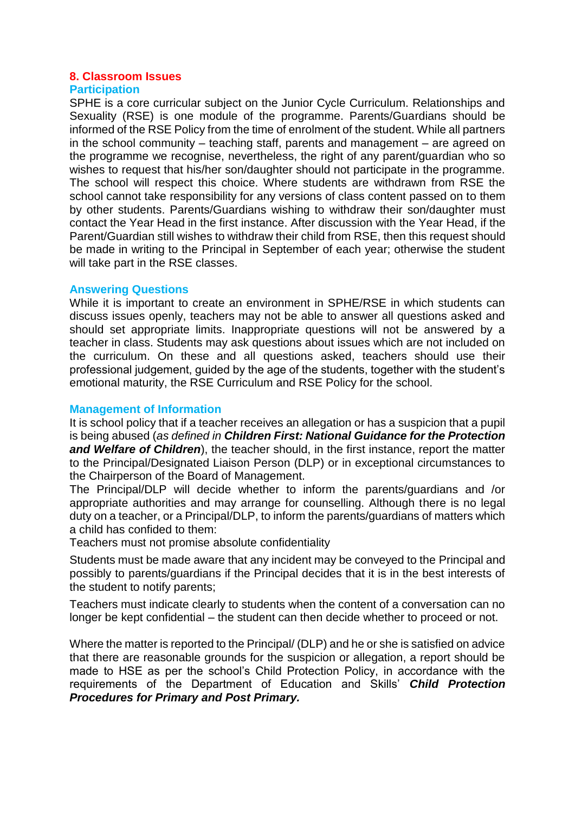## **8. Classroom Issues**

### **Participation**

SPHE is a core curricular subject on the Junior Cycle Curriculum. Relationships and Sexuality (RSE) is one module of the programme. Parents/Guardians should be informed of the RSE Policy from the time of enrolment of the student. While all partners in the school community – teaching staff, parents and management – are agreed on the programme we recognise, nevertheless, the right of any parent/guardian who so wishes to request that his/her son/daughter should not participate in the programme. The school will respect this choice. Where students are withdrawn from RSE the school cannot take responsibility for any versions of class content passed on to them by other students. Parents/Guardians wishing to withdraw their son/daughter must contact the Year Head in the first instance. After discussion with the Year Head, if the Parent/Guardian still wishes to withdraw their child from RSE, then this request should be made in writing to the Principal in September of each year; otherwise the student will take part in the RSE classes.

## **Answering Questions**

While it is important to create an environment in SPHE/RSE in which students can discuss issues openly, teachers may not be able to answer all questions asked and should set appropriate limits. Inappropriate questions will not be answered by a teacher in class. Students may ask questions about issues which are not included on the curriculum. On these and all questions asked, teachers should use their professional judgement, guided by the age of the students, together with the student's emotional maturity, the RSE Curriculum and RSE Policy for the school.

## **Management of Information**

It is school policy that if a teacher receives an allegation or has a suspicion that a pupil is being abused (*as defined in Children First: National Guidance for the Protection and Welfare of Children*), the teacher should, in the first instance, report the matter to the Principal/Designated Liaison Person (DLP) or in exceptional circumstances to the Chairperson of the Board of Management.

The Principal/DLP will decide whether to inform the parents/guardians and /or appropriate authorities and may arrange for counselling. Although there is no legal duty on a teacher, or a Principal/DLP, to inform the parents/guardians of matters which a child has confided to them:

Teachers must not promise absolute confidentiality

Students must be made aware that any incident may be conveyed to the Principal and possibly to parents/guardians if the Principal decides that it is in the best interests of the student to notify parents;

Teachers must indicate clearly to students when the content of a conversation can no longer be kept confidential – the student can then decide whether to proceed or not.

Where the matter is reported to the Principal/ (DLP) and he or she is satisfied on advice that there are reasonable grounds for the suspicion or allegation, a report should be made to HSE as per the school's Child Protection Policy, in accordance with the requirements of the Department of Education and Skills' *Child Protection Procedures for Primary and Post Primary.*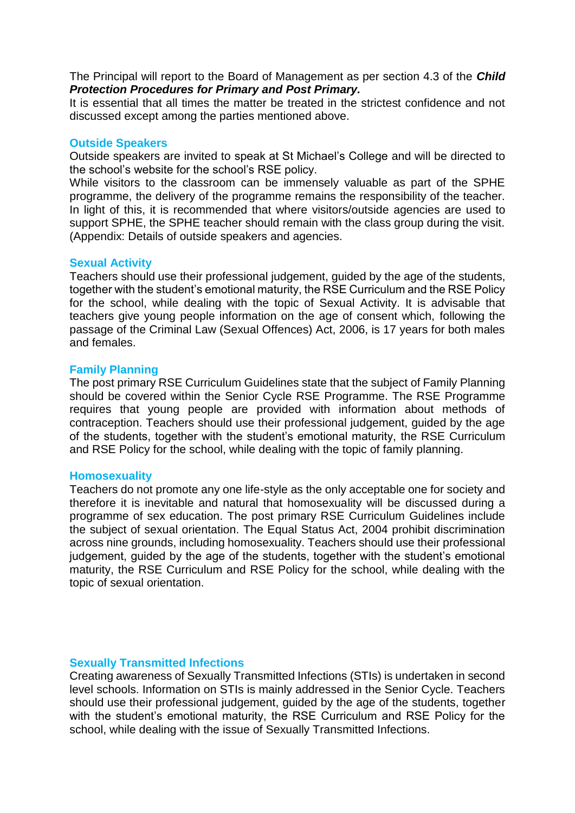The Principal will report to the Board of Management as per section 4.3 of the *Child Protection Procedures for Primary and Post Primary.* 

It is essential that all times the matter be treated in the strictest confidence and not discussed except among the parties mentioned above.

### **Outside Speakers**

Outside speakers are invited to speak at St Michael's College and will be directed to the school's website for the school's RSE policy.

While visitors to the classroom can be immensely valuable as part of the SPHE programme, the delivery of the programme remains the responsibility of the teacher. In light of this, it is recommended that where visitors/outside agencies are used to support SPHE, the SPHE teacher should remain with the class group during the visit. (Appendix: Details of outside speakers and agencies.

## **Sexual Activity**

Teachers should use their professional judgement, guided by the age of the students, together with the student's emotional maturity, the RSE Curriculum and the RSE Policy for the school, while dealing with the topic of Sexual Activity. It is advisable that teachers give young people information on the age of consent which, following the passage of the Criminal Law (Sexual Offences) Act, 2006, is 17 years for both males and females.

#### **Family Planning**

The post primary RSE Curriculum Guidelines state that the subject of Family Planning should be covered within the Senior Cycle RSE Programme. The RSE Programme requires that young people are provided with information about methods of contraception. Teachers should use their professional judgement, guided by the age of the students, together with the student's emotional maturity, the RSE Curriculum and RSE Policy for the school, while dealing with the topic of family planning.

#### **Homosexuality**

Teachers do not promote any one life-style as the only acceptable one for society and therefore it is inevitable and natural that homosexuality will be discussed during a programme of sex education. The post primary RSE Curriculum Guidelines include the subject of sexual orientation. The Equal Status Act, 2004 prohibit discrimination across nine grounds, including homosexuality. Teachers should use their professional judgement, guided by the age of the students, together with the student's emotional maturity, the RSE Curriculum and RSE Policy for the school, while dealing with the topic of sexual orientation.

## **Sexually Transmitted Infections**

Creating awareness of Sexually Transmitted Infections (STIs) is undertaken in second level schools. Information on STIs is mainly addressed in the Senior Cycle. Teachers should use their professional judgement, guided by the age of the students, together with the student's emotional maturity, the RSE Curriculum and RSE Policy for the school, while dealing with the issue of Sexually Transmitted Infections.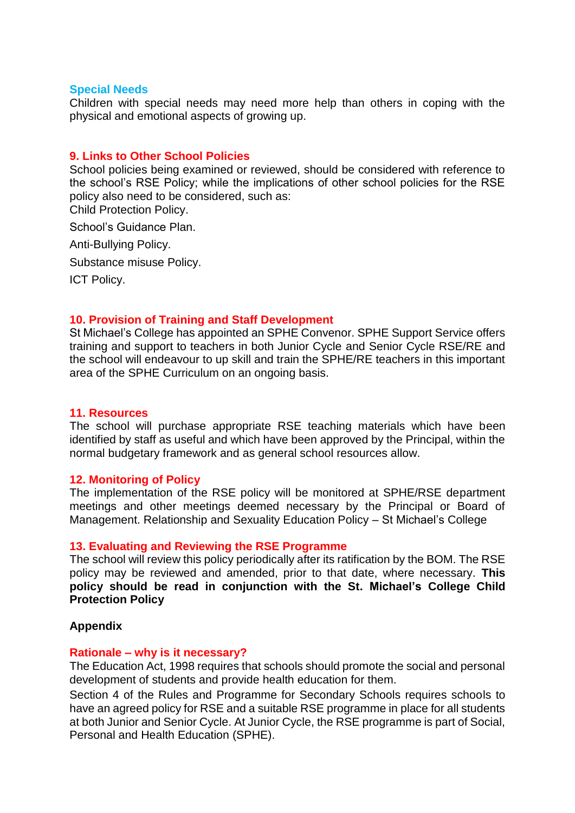#### **Special Needs**

Children with special needs may need more help than others in coping with the physical and emotional aspects of growing up.

### **9. Links to Other School Policies**

School policies being examined or reviewed, should be considered with reference to the school's RSE Policy; while the implications of other school policies for the RSE policy also need to be considered, such as:

Child Protection Policy.

School's Guidance Plan.

Anti-Bullying Policy.

Substance misuse Policy.

ICT Policy.

#### **10. Provision of Training and Staff Development**

St Michael's College has appointed an SPHE Convenor. SPHE Support Service offers training and support to teachers in both Junior Cycle and Senior Cycle RSE/RE and the school will endeavour to up skill and train the SPHE/RE teachers in this important area of the SPHE Curriculum on an ongoing basis.

#### **11. Resources**

The school will purchase appropriate RSE teaching materials which have been identified by staff as useful and which have been approved by the Principal, within the normal budgetary framework and as general school resources allow.

#### **12. Monitoring of Policy**

The implementation of the RSE policy will be monitored at SPHE/RSE department meetings and other meetings deemed necessary by the Principal or Board of Management. Relationship and Sexuality Education Policy – St Michael's College

### **13. Evaluating and Reviewing the RSE Programme**

The school will review this policy periodically after its ratification by the BOM. The RSE policy may be reviewed and amended, prior to that date, where necessary. **This policy should be read in conjunction with the St. Michael's College Child Protection Policy** 

#### **Appendix**

#### **Rationale – why is it necessary?**

The Education Act, 1998 requires that schools should promote the social and personal development of students and provide health education for them.

Section 4 of the Rules and Programme for Secondary Schools requires schools to have an agreed policy for RSE and a suitable RSE programme in place for all students at both Junior and Senior Cycle. At Junior Cycle, the RSE programme is part of Social, Personal and Health Education (SPHE).